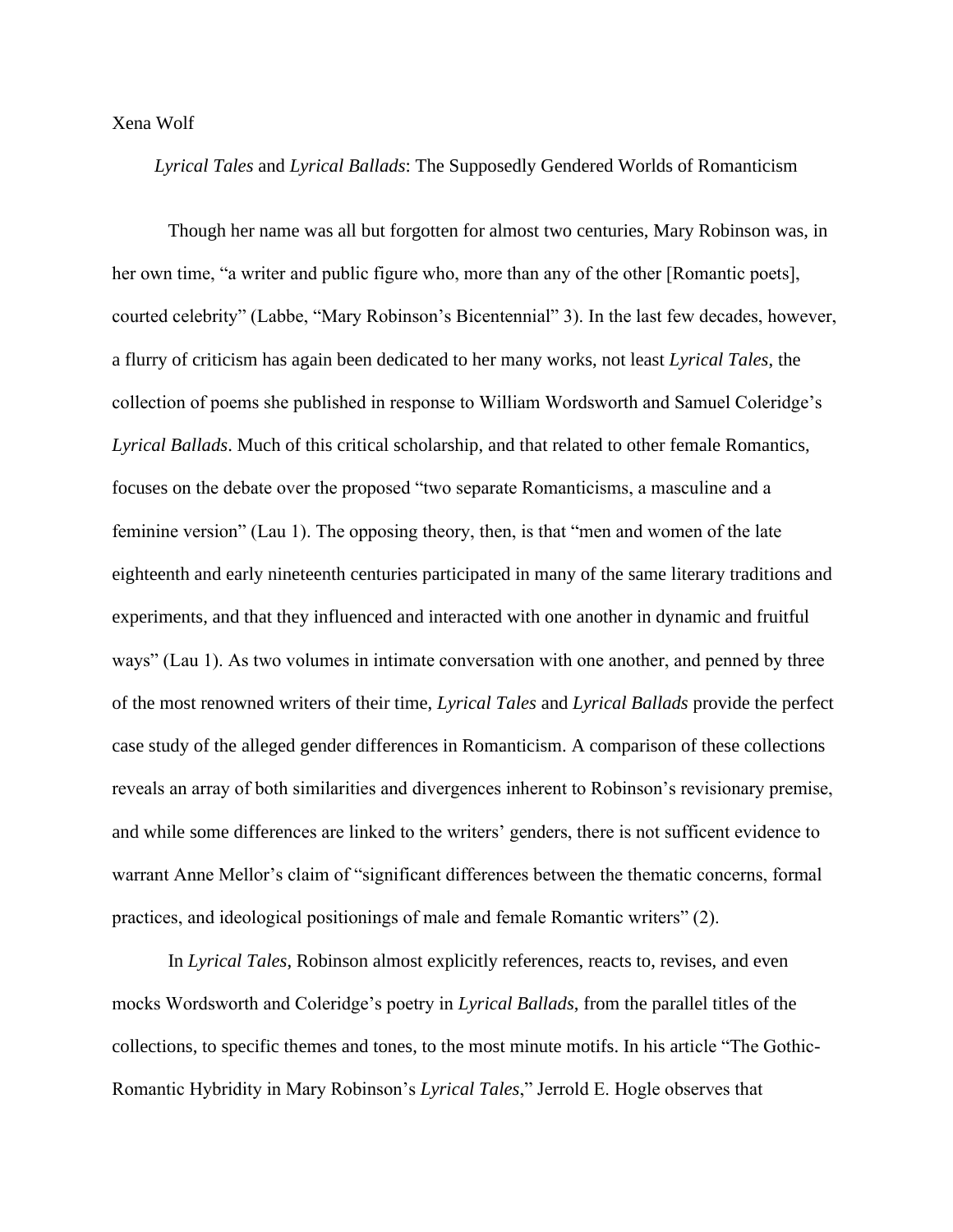## Xena Wolf

*Lyrical Tales* and *Lyrical Ballads*: The Supposedly Gendered Worlds of Romanticism

Though her name was all but forgotten for almost two centuries, Mary Robinson was, in her own time, "a writer and public figure who, more than any of the other [Romantic poets], courted celebrity" (Labbe, "Mary Robinson's Bicentennial" 3). In the last few decades, however, a flurry of criticism has again been dedicated to her many works, not least *Lyrical Tales*, the collection of poems she published in response to William Wordsworth and Samuel Coleridge's *Lyrical Ballads*. Much of this critical scholarship, and that related to other female Romantics, focuses on the debate over the proposed "two separate Romanticisms, a masculine and a feminine version" (Lau 1). The opposing theory, then, is that "men and women of the late eighteenth and early nineteenth centuries participated in many of the same literary traditions and experiments, and that they influenced and interacted with one another in dynamic and fruitful ways" (Lau 1). As two volumes in intimate conversation with one another, and penned by three of the most renowned writers of their time, *Lyrical Tales* and *Lyrical Ballads* provide the perfect case study of the alleged gender differences in Romanticism. A comparison of these collections reveals an array of both similarities and divergences inherent to Robinson's revisionary premise, and while some differences are linked to the writers' genders, there is not sufficent evidence to warrant Anne Mellor's claim of "significant differences between the thematic concerns, formal practices, and ideological positionings of male and female Romantic writers" (2).

In *Lyrical Tales*, Robinson almost explicitly references, reacts to, revises, and even mocks Wordsworth and Coleridge's poetry in *Lyrical Ballads*, from the parallel titles of the collections, to specific themes and tones, to the most minute motifs. In his article "The Gothic-Romantic Hybridity in Mary Robinson's *Lyrical Tales*," Jerrold E. Hogle observes that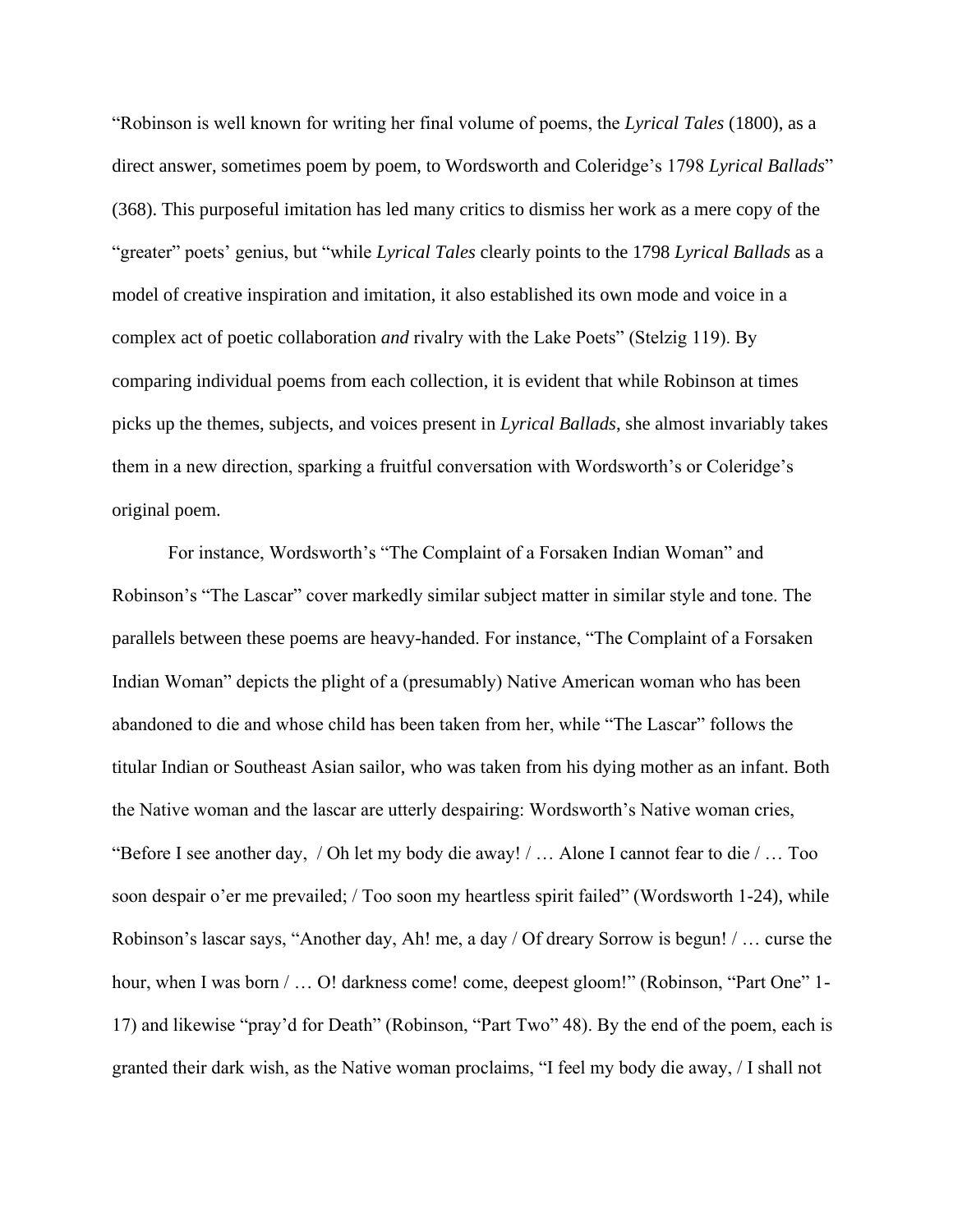"Robinson is well known for writing her final volume of poems, the *Lyrical Tales* (1800), as a direct answer, sometimes poem by poem, to Wordsworth and Coleridge's 1798 *Lyrical Ballads*" (368). This purposeful imitation has led many critics to dismiss her work as a mere copy of the "greater" poets' genius, but "while *Lyrical Tales* clearly points to the 1798 *Lyrical Ballads* as a model of creative inspiration and imitation, it also established its own mode and voice in a complex act of poetic collaboration *and* rivalry with the Lake Poets" (Stelzig 119). By comparing individual poems from each collection, it is evident that while Robinson at times picks up the themes, subjects, and voices present in *Lyrical Ballads*, she almost invariably takes them in a new direction, sparking a fruitful conversation with Wordsworth's or Coleridge's original poem.

For instance, Wordsworth's "The Complaint of a Forsaken Indian Woman" and Robinson's "The Lascar" cover markedly similar subject matter in similar style and tone. The parallels between these poems are heavy-handed. For instance, "The Complaint of a Forsaken Indian Woman" depicts the plight of a (presumably) Native American woman who has been abandoned to die and whose child has been taken from her, while "The Lascar" follows the titular Indian or Southeast Asian sailor, who was taken from his dying mother as an infant. Both the Native woman and the lascar are utterly despairing: Wordsworth's Native woman cries, "Before I see another day, / Oh let my body die away! / … Alone I cannot fear to die / … Too soon despair o'er me prevailed; / Too soon my heartless spirit failed" (Wordsworth 1-24), while Robinson's lascar says, "Another day, Ah! me, a day / Of dreary Sorrow is begun! / … curse the hour, when I was born / ... O! darkness come! come, deepest gloom!" (Robinson, "Part One" 1-17) and likewise "pray'd for Death" (Robinson, "Part Two" 48). By the end of the poem, each is granted their dark wish, as the Native woman proclaims, "I feel my body die away, / I shall not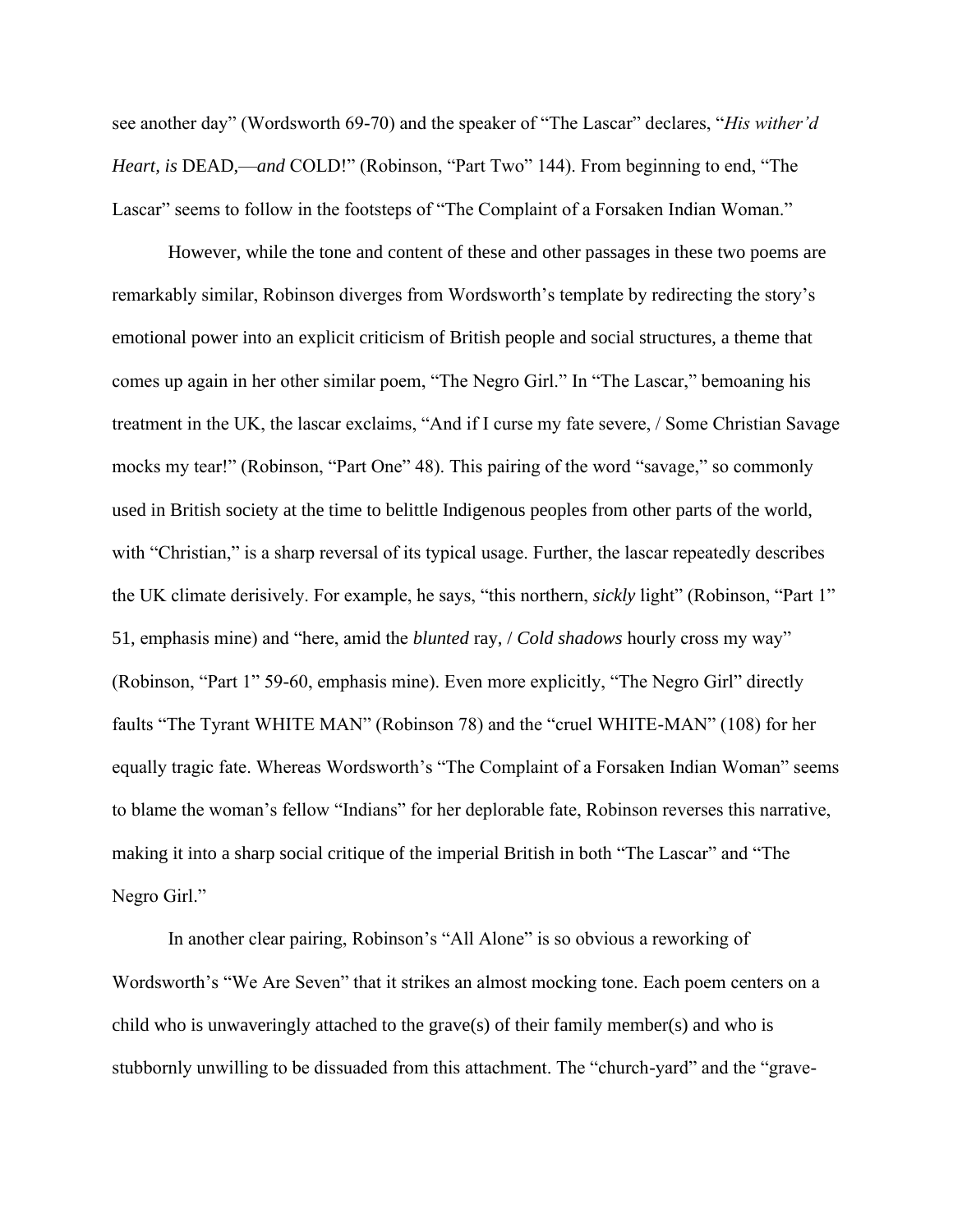see another day" (Wordsworth 69-70) and the speaker of "The Lascar" declares, "*His wither'd Heart, is DEAD,—and COLD!*" (Robinson, "Part Two" 144). From beginning to end, "The Lascar" seems to follow in the footsteps of "The Complaint of a Forsaken Indian Woman."

However, while the tone and content of these and other passages in these two poems are remarkably similar, Robinson diverges from Wordsworth's template by redirecting the story's emotional power into an explicit criticism of British people and social structures, a theme that comes up again in her other similar poem, "The Negro Girl." In "The Lascar," bemoaning his treatment in the UK, the lascar exclaims, "And if I curse my fate severe, / Some Christian Savage mocks my tear!" (Robinson, "Part One" 48). This pairing of the word "savage," so commonly used in British society at the time to belittle Indigenous peoples from other parts of the world, with "Christian," is a sharp reversal of its typical usage. Further, the lascar repeatedly describes the UK climate derisively. For example, he says, "this northern, *sickly* light" (Robinson, "Part 1" 51, emphasis mine) and "here, amid the *blunted* ray, / *Cold shadows* hourly cross my way" (Robinson, "Part 1" 59-60, emphasis mine). Even more explicitly, "The Negro Girl" directly faults "The Tyrant WHITE MAN" (Robinson 78) and the "cruel WHITE-MAN" (108) for her equally tragic fate. Whereas Wordsworth's "The Complaint of a Forsaken Indian Woman" seems to blame the woman's fellow "Indians" for her deplorable fate, Robinson reverses this narrative, making it into a sharp social critique of the imperial British in both "The Lascar" and "The Negro Girl."

In another clear pairing, Robinson's "All Alone" is so obvious a reworking of Wordsworth's "We Are Seven" that it strikes an almost mocking tone. Each poem centers on a child who is unwaveringly attached to the grave(s) of their family member(s) and who is stubbornly unwilling to be dissuaded from this attachment. The "church-yard" and the "grave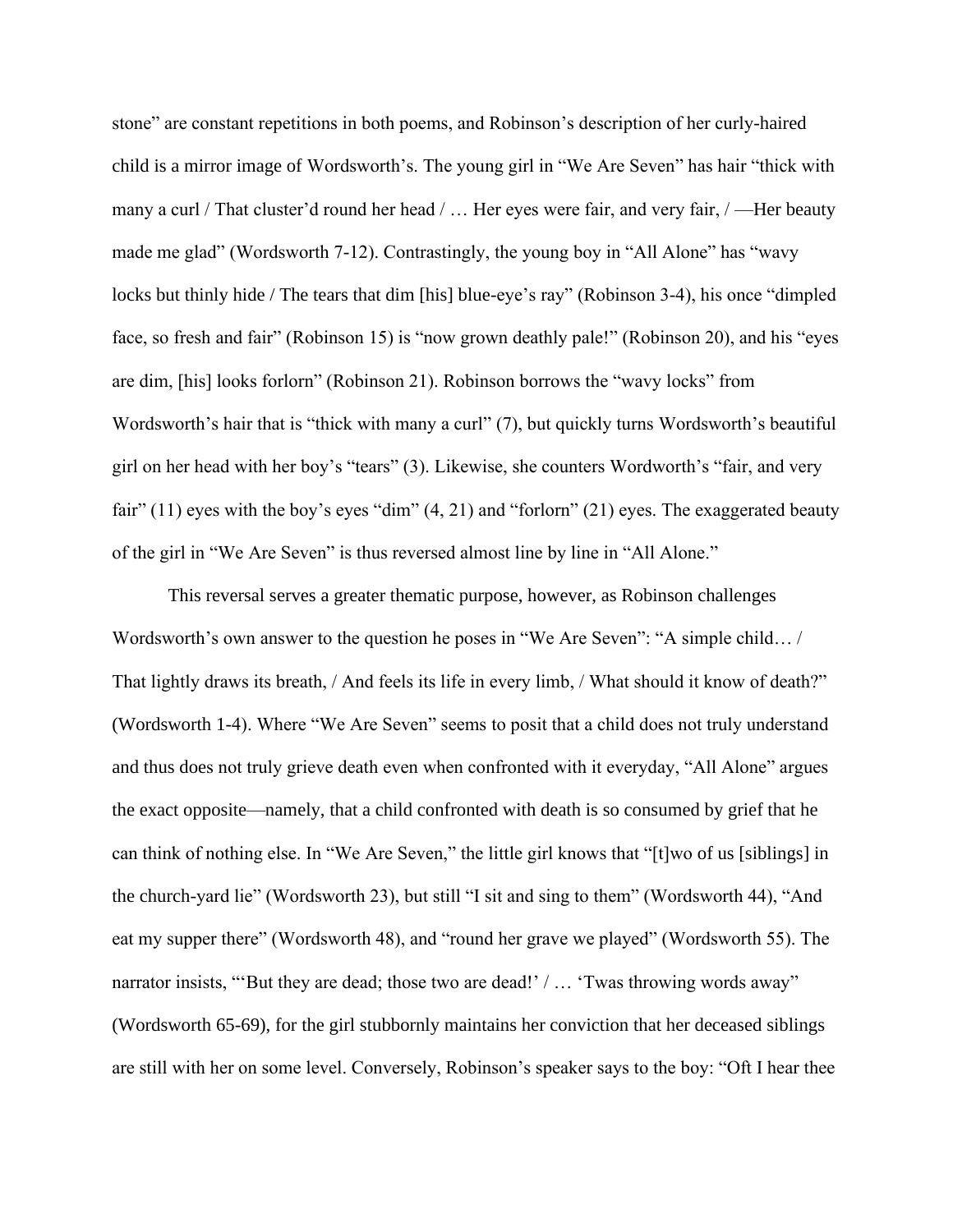stone" are constant repetitions in both poems, and Robinson's description of her curly-haired child is a mirror image of Wordsworth's. The young girl in "We Are Seven" has hair "thick with many a curl / That cluster'd round her head / ... Her eyes were fair, and very fair, / — Her beauty made me glad" (Wordsworth 7-12). Contrastingly, the young boy in "All Alone" has "wavy locks but thinly hide / The tears that dim [his] blue-eye's ray" (Robinson 3-4), his once "dimpled face, so fresh and fair" (Robinson 15) is "now grown deathly pale!" (Robinson 20), and his "eyes are dim, [his] looks forlorn" (Robinson 21). Robinson borrows the "wavy locks" from Wordsworth's hair that is "thick with many a curl" (7), but quickly turns Wordsworth's beautiful girl on her head with her boy's "tears" (3). Likewise, she counters Wordworth's "fair, and very fair" (11) eyes with the boy's eyes "dim" (4, 21) and "forlorn" (21) eyes. The exaggerated beauty of the girl in "We Are Seven" is thus reversed almost line by line in "All Alone."

This reversal serves a greater thematic purpose, however, as Robinson challenges Wordsworth's own answer to the question he poses in "We Are Seven": "A simple child… / That lightly draws its breath, / And feels its life in every limb, / What should it know of death?" (Wordsworth 1-4). Where "We Are Seven" seems to posit that a child does not truly understand and thus does not truly grieve death even when confronted with it everyday, "All Alone" argues the exact opposite—namely, that a child confronted with death is so consumed by grief that he can think of nothing else. In "We Are Seven," the little girl knows that "[t]wo of us [siblings] in the church-yard lie" (Wordsworth 23), but still "I sit and sing to them" (Wordsworth 44), "And eat my supper there" (Wordsworth 48), and "round her grave we played" (Wordsworth 55). The narrator insists, "But they are dead; those two are dead!' / ... 'Twas throwing words away" (Wordsworth 65-69), for the girl stubbornly maintains her conviction that her deceased siblings are still with her on some level. Conversely, Robinson's speaker says to the boy: "Oft I hear thee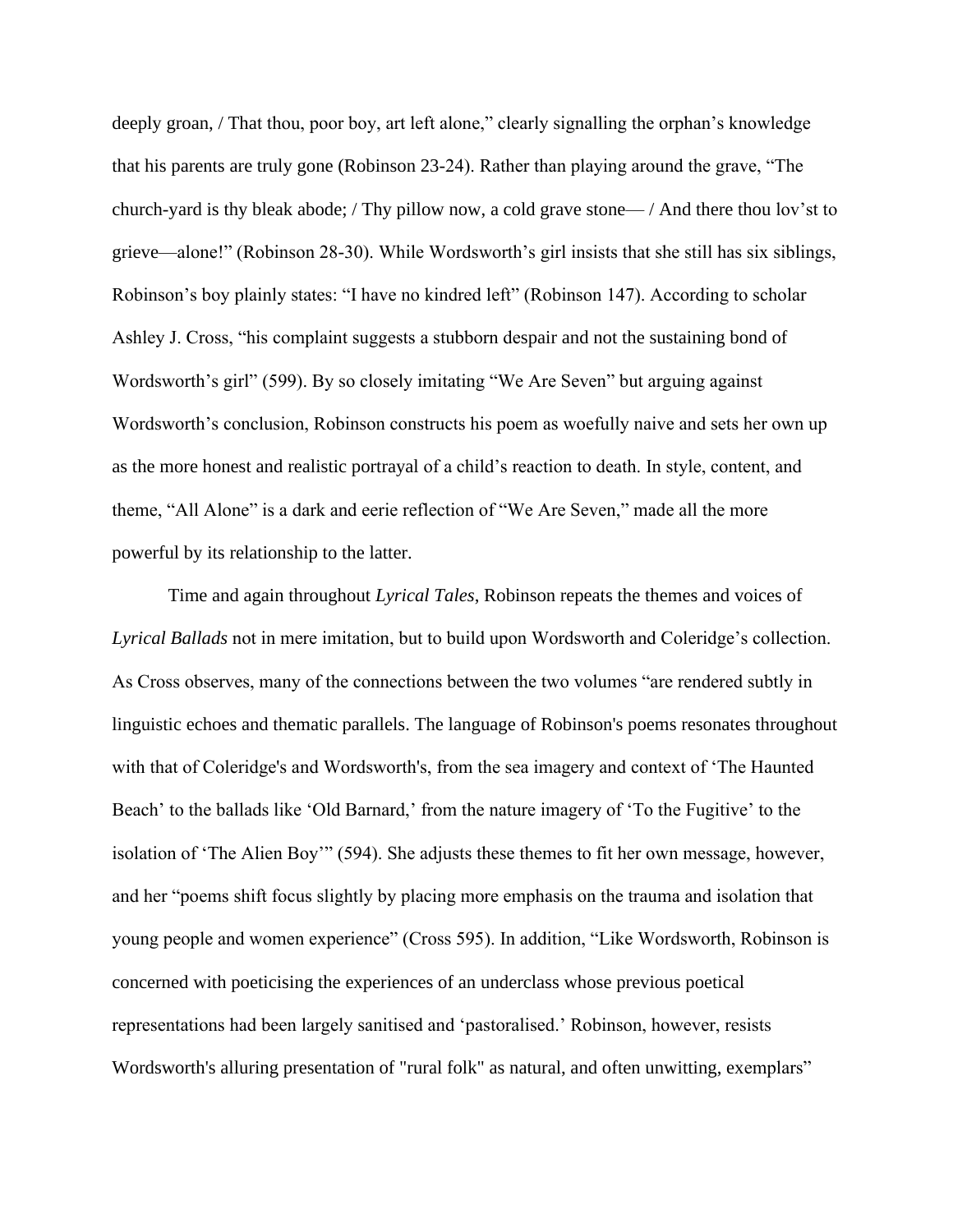deeply groan, / That thou, poor boy, art left alone," clearly signalling the orphan's knowledge that his parents are truly gone (Robinson 23-24). Rather than playing around the grave, "The church-yard is thy bleak abode; / Thy pillow now, a cold grave stone— / And there thou lov'st to grieve—alone!" (Robinson 28-30). While Wordsworth's girl insists that she still has six siblings, Robinson's boy plainly states: "I have no kindred left" (Robinson 147). According to scholar Ashley J. Cross, "his complaint suggests a stubborn despair and not the sustaining bond of Wordsworth's girl" (599). By so closely imitating "We Are Seven" but arguing against Wordsworth's conclusion, Robinson constructs his poem as woefully naive and sets her own up as the more honest and realistic portrayal of a child's reaction to death. In style, content, and theme, "All Alone" is a dark and eerie reflection of "We Are Seven," made all the more powerful by its relationship to the latter.

Time and again throughout *Lyrical Tales*, Robinson repeats the themes and voices of *Lyrical Ballads* not in mere imitation, but to build upon Wordsworth and Coleridge's collection. As Cross observes, many of the connections between the two volumes "are rendered subtly in linguistic echoes and thematic parallels. The language of Robinson's poems resonates throughout with that of Coleridge's and Wordsworth's, from the sea imagery and context of 'The Haunted Beach' to the ballads like 'Old Barnard,' from the nature imagery of 'To the Fugitive' to the isolation of 'The Alien Boy'" (594). She adjusts these themes to fit her own message, however, and her "poems shift focus slightly by placing more emphasis on the trauma and isolation that young people and women experience" (Cross 595). In addition, "Like Wordsworth, Robinson is concerned with poeticising the experiences of an underclass whose previous poetical representations had been largely sanitised and 'pastoralised.' Robinson, however, resists Wordsworth's alluring presentation of "rural folk" as natural, and often unwitting, exemplars"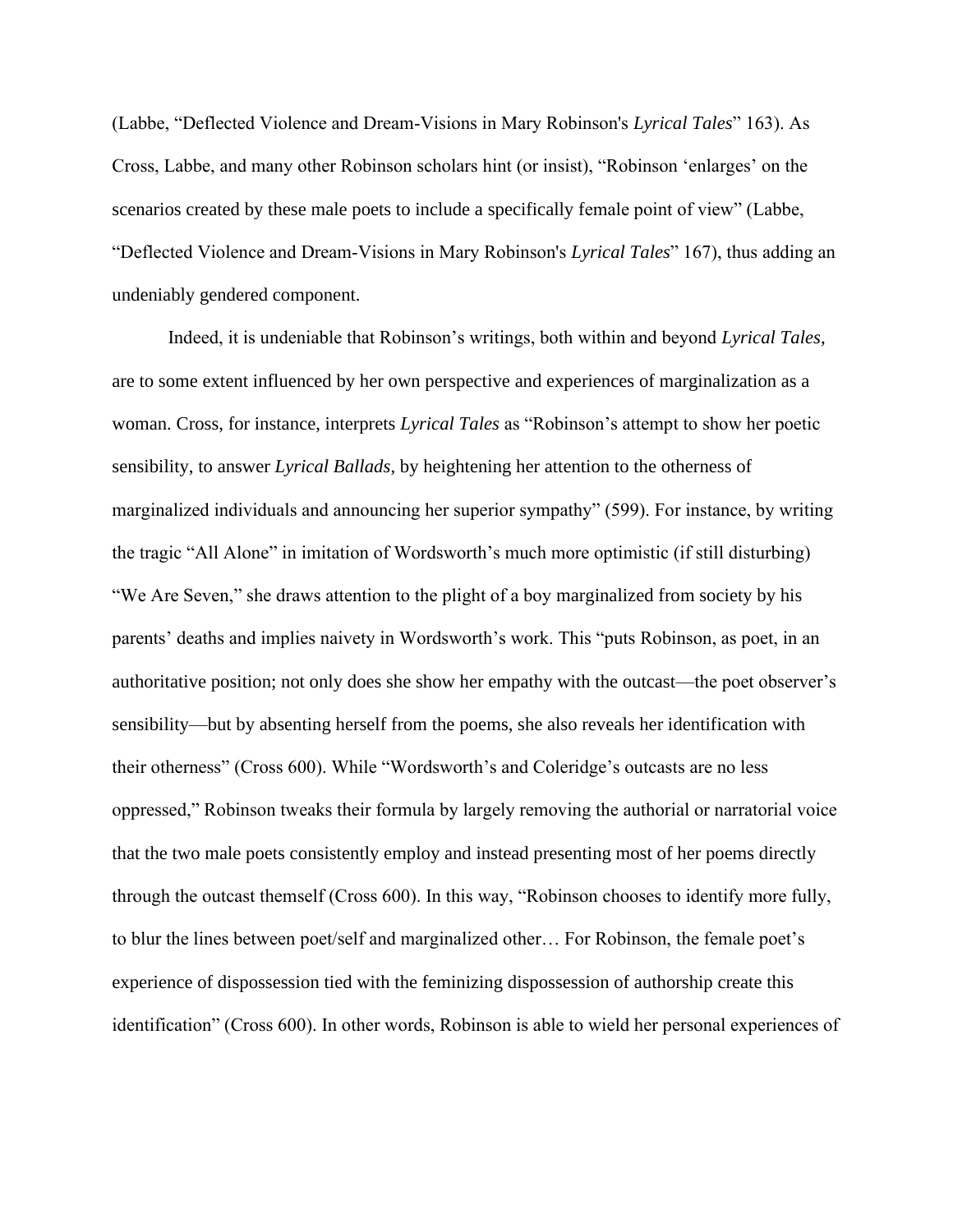(Labbe, "Deflected Violence and Dream‐Visions in Mary Robinson's *Lyrical Tales*" 163). As Cross, Labbe, and many other Robinson scholars hint (or insist), "Robinson 'enlarges' on the scenarios created by these male poets to include a specifically female point of view" (Labbe, "Deflected Violence and Dream‐Visions in Mary Robinson's *Lyrical Tales*" 167), thus adding an undeniably gendered component.

Indeed, it is undeniable that Robinson's writings, both within and beyond *Lyrical Tales*, are to some extent influenced by her own perspective and experiences of marginalization as a woman. Cross, for instance, interprets *Lyrical Tales* as "Robinson's attempt to show her poetic sensibility, to answer *Lyrical Ballads*, by heightening her attention to the otherness of marginalized individuals and announcing her superior sympathy" (599). For instance, by writing the tragic "All Alone" in imitation of Wordsworth's much more optimistic (if still disturbing) "We Are Seven," she draws attention to the plight of a boy marginalized from society by his parents' deaths and implies naivety in Wordsworth's work. This "puts Robinson, as poet, in an authoritative position; not only does she show her empathy with the outcast—the poet observer's sensibility—but by absenting herself from the poems, she also reveals her identification with their otherness" (Cross 600). While "Wordsworth's and Coleridge's outcasts are no less oppressed," Robinson tweaks their formula by largely removing the authorial or narratorial voice that the two male poets consistently employ and instead presenting most of her poems directly through the outcast themself (Cross 600). In this way, "Robinson chooses to identify more fully, to blur the lines between poet/self and marginalized other… For Robinson, the female poet's experience of dispossession tied with the feminizing dispossession of authorship create this identification" (Cross 600). In other words, Robinson is able to wield her personal experiences of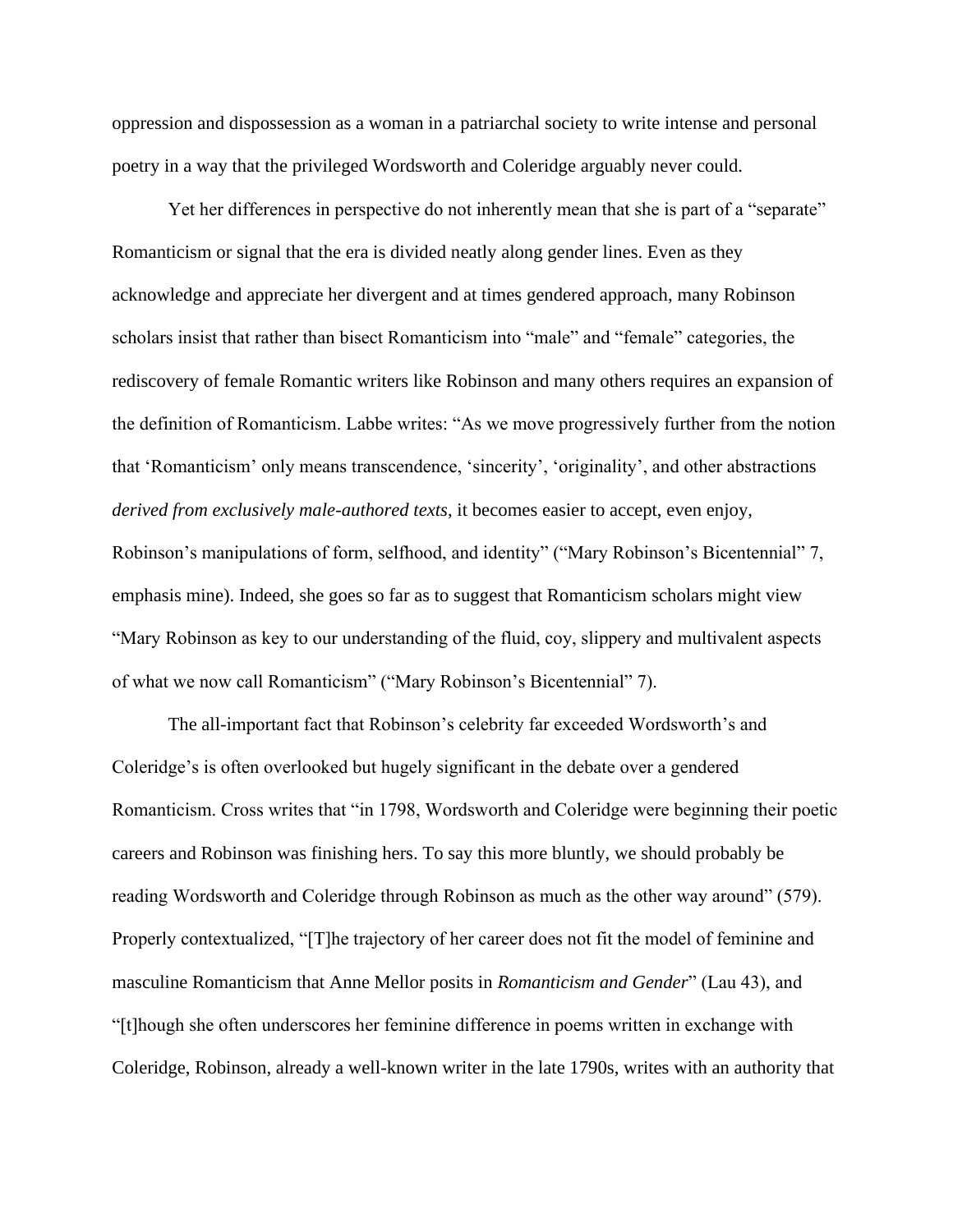oppression and dispossession as a woman in a patriarchal society to write intense and personal poetry in a way that the privileged Wordsworth and Coleridge arguably never could.

Yet her differences in perspective do not inherently mean that she is part of a "separate" Romanticism or signal that the era is divided neatly along gender lines. Even as they acknowledge and appreciate her divergent and at times gendered approach, many Robinson scholars insist that rather than bisect Romanticism into "male" and "female" categories, the rediscovery of female Romantic writers like Robinson and many others requires an expansion of the definition of Romanticism. Labbe writes: "As we move progressively further from the notion that 'Romanticism' only means transcendence, 'sincerity', 'originality', and other abstractions *derived from exclusively male-authored texts*, it becomes easier to accept, even enjoy, Robinson's manipulations of form, selfhood, and identity" ("Mary Robinson's Bicentennial" 7, emphasis mine). Indeed, she goes so far as to suggest that Romanticism scholars might view "Mary Robinson as key to our understanding of the fluid, coy, slippery and multivalent aspects of what we now call Romanticism" ("Mary Robinson's Bicentennial" 7).

The all-important fact that Robinson's celebrity far exceeded Wordsworth's and Coleridge's is often overlooked but hugely significant in the debate over a gendered Romanticism. Cross writes that "in 1798, Wordsworth and Coleridge were beginning their poetic careers and Robinson was finishing hers. To say this more bluntly, we should probably be reading Wordsworth and Coleridge through Robinson as much as the other way around" (579). Properly contextualized, "[T]he trajectory of her career does not fit the model of feminine and masculine Romanticism that Anne Mellor posits in *Romanticism and Gender*" (Lau 43), and "[t]hough she often underscores her feminine difference in poems written in exchange with Coleridge, Robinson, already a well-known writer in the late 1790s, writes with an authority that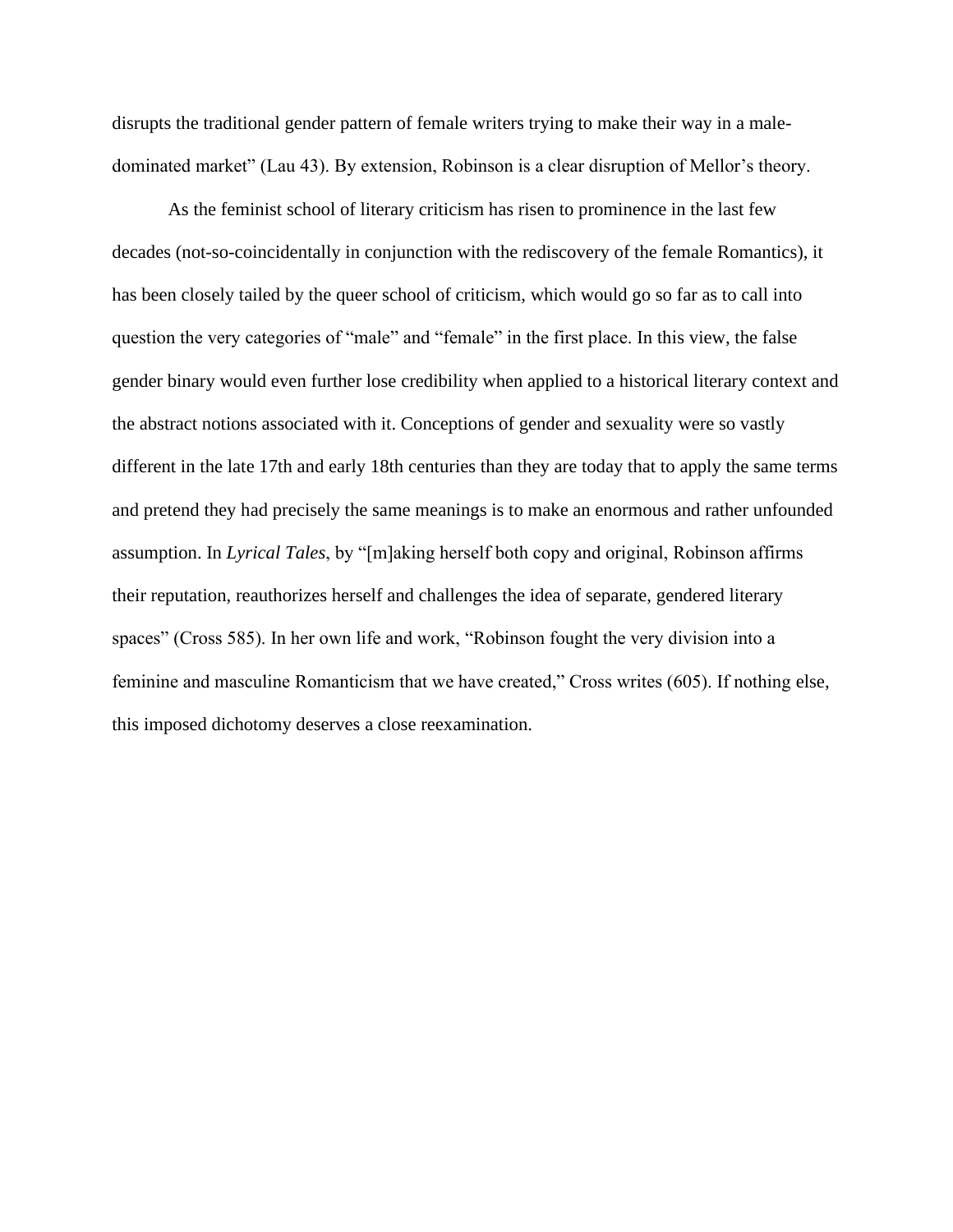disrupts the traditional gender pattern of female writers trying to make their way in a maledominated market" (Lau 43). By extension, Robinson is a clear disruption of Mellor's theory.

As the feminist school of literary criticism has risen to prominence in the last few decades (not-so-coincidentally in conjunction with the rediscovery of the female Romantics), it has been closely tailed by the queer school of criticism, which would go so far as to call into question the very categories of "male" and "female" in the first place. In this view, the false gender binary would even further lose credibility when applied to a historical literary context and the abstract notions associated with it. Conceptions of gender and sexuality were so vastly different in the late 17th and early 18th centuries than they are today that to apply the same terms and pretend they had precisely the same meanings is to make an enormous and rather unfounded assumption. In *Lyrical Tales*, by "[m]aking herself both copy and original, Robinson affirms their reputation, reauthorizes herself and challenges the idea of separate, gendered literary spaces" (Cross 585). In her own life and work, "Robinson fought the very division into a feminine and masculine Romanticism that we have created," Cross writes (605). If nothing else, this imposed dichotomy deserves a close reexamination.